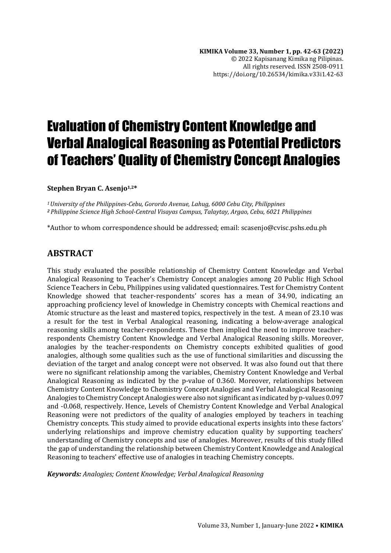# Evaluation of Chemistry Content Knowledge and Verbal Analogical Reasoning as Potential Predictors of Teachers' Quality of Chemistry Concept Analogies

#### **Stephen Bryan C. Asenjo1,2\***

*<sup>1</sup>University of the Philippines-Cebu, Gorordo Avenue, Lahug, 6000 Cebu City, Philippines <sup>2</sup>Philippine Science High School-Central Visayas Campus, Talaytay, Argao, Cebu, 6021 Philippines*

\*Author to whom correspondence should be addressed; email: scasenjo@cvisc.pshs.edu.ph

## **ABSTRACT**

This study evaluated the possible relationship of Chemistry Content Knowledge and Verbal Analogical Reasoning to Teacher's Chemistry Concept analogies among 20 Public High School Science Teachers in Cebu, Philippines using validated questionnaires. Test for Chemistry Content Knowledge showed that teacher-respondents' scores has a mean of 34.90, indicating an approaching proficiency level of knowledge in Chemistry concepts with Chemical reactions and Atomic structure as the least and mastered topics, respectively in the test. A mean of 23.10 was a result for the test in Verbal Analogical reasoning, indicating a below-average analogical reasoning skills among teacher-respondents. These then implied the need to improve teacherrespondents Chemistry Content Knowledge and Verbal Analogical Reasoning skills. Moreover, analogies by the teacher-respondents on Chemistry concepts exhibited qualities of good analogies, although some qualities such as the use of functional similarities and discussing the deviation of the target and analog concept were not observed. It was also found out that there were no significant relationship among the variables, Chemistry Content Knowledge and Verbal Analogical Reasoning as indicated by the p-value of 0.360. Moreover, relationships between Chemistry Content Knowledge to Chemistry Concept Analogies and Verbal Analogical Reasoning Analogies to Chemistry Concept Analogies were also not significant as indicated by p-values 0.097 and -0.068, respectively. Hence, Levels of Chemistry Content Knowledge and Verbal Analogical Reasoning were not predictors of the quality of analogies employed by teachers in teaching Chemistry concepts. This study aimed to provide educational experts insights into these factors' underlying relationships and improve chemistry education quality by supporting teachers' understanding of Chemistry concepts and use of analogies. Moreover, results of this study filled the gap of understanding the relationship between Chemistry Content Knowledge and Analogical Reasoning to teachers' effective use of analogies in teaching Chemistry concepts.

*Keywords: Analogies; Content Knowledge; Verbal Analogical Reasoning*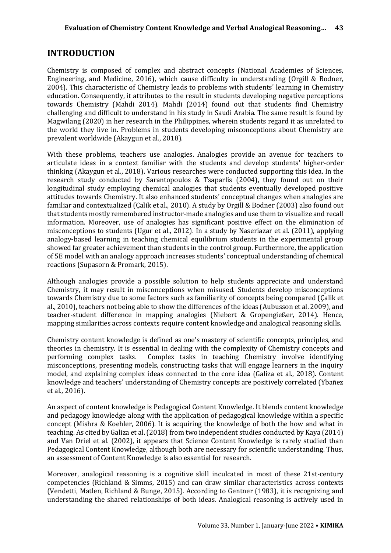## **INTRODUCTION**

Chemistry is composed of complex and abstract concepts (National Academies of Sciences, Engineering, and Medicine, 2016), which cause difficulty in understanding (Orgill & Bodner, 2004). This characteristic of Chemistry leads to problems with students' learning in Chemistry education. Consequently, it attributes to the result in students developing negative perceptions towards Chemistry (Mahdi 2014). Mahdi (2014) found out that students find Chemistry challenging and difficult to understand in his study in Saudi Arabia. The same result is found by Magwilang (2020) in her research in the Philippines, wherein students regard it as unrelated to the world they live in. Problems in students developing misconceptions about Chemistry are prevalent worldwide (Akaygun et al., 2018).

With these problems, teachers use analogies. Analogies provide an avenue for teachers to articulate ideas in a context familiar with the students and develop students' higher-order thinking (Akaygun et al., 2018). Various researches were conducted supporting this idea. In the research study conducted by Sarantopoulos & Tsaparlis (2004), they found out on their longitudinal study employing chemical analogies that students eventually developed positive attitudes towards Chemistry. It also enhanced students' conceptual changes when analogies are familiar and contextualized (Çalik et al., 2010). A study by Orgill & Bodner (2003) also found out that students mostly remembered instructor-made analogies and use them to visualize and recall information. Moreover, use of analogies has significant positive effect on the elimination of misconceptions to students (Ugur et al., 2012). In a study by Naseriazar et al. (2011), applying analogy-based learning in teaching chemical equilibrium students in the experimental group showed far greater achievement than students in the control group. Furthermore, the application of 5E model with an analogy approach increases students' conceptual understanding of chemical reactions (Supasorn & Promark, 2015).

Although analogies provide a possible solution to help students appreciate and understand Chemistry, it may result in misconceptions when misused. Students develop misconceptions towards Chemistry due to some factors such as familiarity of concepts being compared (Çalik et al., 2010), teachers not being able to show the differences of the ideas (Aubusson et al. 2009), and teacher-student difference in mapping analogies (Niebert & Gropengießer, 2014). Hence, mapping similarities across contexts require content knowledge and analogical reasoning skills.

Chemistry content knowledge is defined as one's mastery of scientific concepts, principles, and theories in chemistry. It is essential in dealing with the complexity of Chemistry concepts and performing complex tasks. Complex tasks in teaching Chemistry involve identifying misconceptions, presenting models, constructing tasks that will engage learners in the inquiry model, and explaining complex ideas connected to the core idea (Galiza et al., 2018). Content knowledge and teachers' understanding of Chemistry concepts are positively correlated (Ybañez et al., 2016).

An aspect of content knowledge is Pedagogical Content Knowledge. It blends content knowledge and pedagogy knowledge along with the application of pedagogical knowledge within a specific concept (Mishra & Koehler, 2006). It is acquiring the knowledge of both the how and what in teaching. As cited by Galiza et al. (2018) from two independent studies conducted by Kaya (2014) and Van Driel et al. (2002), it appears that Science Content Knowledge is rarely studied than Pedagogical Content Knowledge, although both are necessary for scientific understanding. Thus, an assessment of Content Knowledge is also essential for research.

Moreover, analogical reasoning is a cognitive skill inculcated in most of these 21st-century competencies (Richland & Simms, 2015) and can draw similar characteristics across contexts (Vendetti, Matlen, Richland & Bunge, 2015). According to Gentner (1983), it is recognizing and understanding the shared relationships of both ideas. Analogical reasoning is actively used in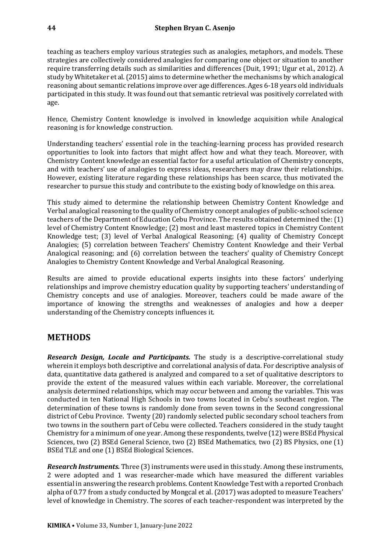teaching as teachers employ various strategies such as analogies, metaphors, and models. These strategies are collectively considered analogies for comparing one object or situation to another require transferring details such as similarities and differences (Duit, 1991; Ugur et al., 2012). A study by Whitetaker et al. (2015) aims to determine whether the mechanisms by which analogical reasoning about semantic relations improve over age differences. Ages 6-18 years old individuals participated in this study. It was found out that semantic retrieval was positively correlated with age.

Hence, Chemistry Content knowledge is involved in knowledge acquisition while Analogical reasoning is for knowledge construction.

Understanding teachers' essential role in the teaching-learning process has provided research opportunities to look into factors that might affect how and what they teach. Moreover, with Chemistry Content knowledge an essential factor for a useful articulation of Chemistry concepts, and with teachers' use of analogies to express ideas, researchers may draw their relationships. However, existing literature regarding these relationships has been scarce, thus motivated the researcher to pursue this study and contribute to the existing body of knowledge on this area.

This study aimed to determine the relationship between Chemistry Content Knowledge and Verbal analogical reasoning to the quality of Chemistry concept analogies of public-school science teachers of the Department of Education Cebu Province. The results obtained determined the: (1) level of Chemistry Content Knowledge; (2) most and least mastered topics in Chemistry Content Knowledge test; (3) level of Verbal Analogical Reasoning; (4) quality of Chemistry Concept Analogies; (5) correlation between Teachers' Chemistry Content Knowledge and their Verbal Analogical reasoning; and (6) correlation between the teachers' quality of Chemistry Concept Analogies to Chemistry Content Knowledge and Verbal Analogical Reasoning.

Results are aimed to provide educational experts insights into these factors' underlying relationships and improve chemistry education quality by supporting teachers' understanding of Chemistry concepts and use of analogies. Moreover, teachers could be made aware of the importance of knowing the strengths and weaknesses of analogies and how a deeper understanding of the Chemistry concepts influences it.

## **METHODS**

*Research Design, Locale and Participants.* The study is a descriptive-correlational study wherein it employs both descriptive and correlational analysis of data. For descriptive analysis of data, quantitative data gathered is analyzed and compared to a set of qualitative descriptors to provide the extent of the measured values within each variable. Moreover, the correlational analysis determined relationships, which may occur between and among the variables. This was conducted in ten National High Schools in two towns located in Cebu's southeast region. The determination of these towns is randomly done from seven towns in the Second congressional district of Cebu Province. Twenty (20) randomly selected public secondary school teachers from two towns in the southern part of Cebu were collected. Teachers considered in the study taught Chemistry for a minimum of one year. Among these respondents, twelve (12) were BSEd Physical Sciences, two (2) BSEd General Science, two (2) BSEd Mathematics, two (2) BS Physics, one (1) BSEd TLE and one (1) BSEd Biological Sciences.

*Research Instruments.* Three (3) instruments were used in this study. Among these instruments, 2 were adopted and 1 was researcher-made which have measured the different variables essential in answering the research problems. Content Knowledge Test with a reported Cronbach alpha of 0.77 from a study conducted by Mongcal et al. (2017) was adopted to measure Teachers' level of knowledge in Chemistry. The scores of each teacher-respondent was interpreted by the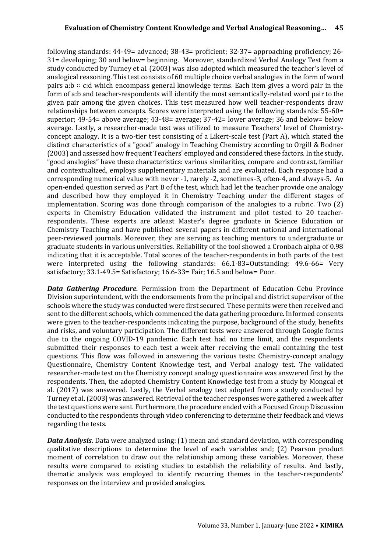following standards: 44-49= advanced; 38-43= proficient; 32-37= approaching proficiency; 26- 31= developing; 30 and below= beginning. Moreover, standardized Verbal Analogy Test from a study conducted by Turney et al. (2003) was also adopted which measured the teacher's level of analogical reasoning. This test consists of 60 multiple choice verbal analogies in the form of word pairs a:b ∷ c:d which encompass general knowledge terms. Each item gives a word pair in the form of a:b and teacher-respondents will identify the most semantically-related word pair to the given pair among the given choices. This test measured how well teacher-respondents draw relationships between concepts. Scores were interpreted using the following standards: 55-60= superior; 49-54= above average; 43-48= average; 37-42= lower average; 36 and below= below average. Lastly, a researcher-made test was utilized to measure Teachers' level of Chemistryconcept analogy. It is a two-tier test consisting of a Likert-scale test (Part A), which stated the distinct characteristics of a "good" analogy in Teaching Chemistry according to Orgill & Bodner (2003) and assessed how frequent Teachers' employed and considered these factors. In the study, "good analogies" have these characteristics: various similarities, compare and contrast, familiar and contextualized, employs supplementary materials and are evaluated. Each response had a corresponding numerical value with never -1, rarely -2, sometimes-3, often-4, and always-5. An open-ended question served as Part B of the test, which had let the teacher provide one analogy and described how they employed it in Chemistry Teaching under the different stages of implementation. Scoring was done through comparison of the analogies to a rubric. Two (2) experts in Chemistry Education validated the instrument and pilot tested to 20 teacherrespondents. These experts are atleast Master's degree graduate in Science Education or Chemistry Teaching and have published several papers in different national and international peer-reviewed journals. Moreover, they are serving as teaching mentors to undergraduate or graduate students in various universities. Reliability of the tool showed a Cronbach alpha of 0.98 indicating that it is acceptable. Total scores of the teacher-respondents in both parts of the test were interpreted using the following standards: 66.1-83=Outstanding; 49.6-66= Very satisfactory; 33.1-49.5= Satisfactory; 16.6-33= Fair; 16.5 and below= Poor.

*Data Gathering Procedure.* Permission from the Department of Education Cebu Province Division superintendent, with the endorsements from the principal and district supervisor of the schools where the study was conducted were first secured. These permits were then received and sent to the different schools, which commenced the data gathering procedure. Informed consents were given to the teacher-respondents indicating the purpose, background of the study, benefits and risks, and voluntary participation. The different tests were answered through Google forms due to the ongoing COVID-19 pandemic. Each test had no time limit, and the respondents submitted their responses to each test a week after receiving the email containing the test questions. This flow was followed in answering the various tests: Chemistry-concept analogy Questionnaire, Chemistry Content Knowledge test, and Verbal analogy test. The validated researcher-made test on the Chemistry concept analogy questionnaire was answered first by the respondents. Then, the adopted Chemistry Content Knowledge test from a study by Mongcal et al. (2017) was answered. Lastly, the Verbal analogy test adopted from a study conducted by Turney et al. (2003) was answered. Retrieval of the teacher responses were gathered a week after the test questions were sent. Furthermore, the procedure ended with a Focused Group Discussion conducted to the respondents through video conferencing to determine their feedback and views regarding the tests.

*Data Analysis.* Data were analyzed using: (1) mean and standard deviation, with corresponding qualitative descriptions to determine the level of each variables and; (2) Pearson product moment of correlation to draw out the relationship among these variables. Moreover, these results were compared to existing studies to establish the reliability of results. And lastly, thematic analysis was employed to identify recurring themes in the teacher-respondents' responses on the interview and provided analogies.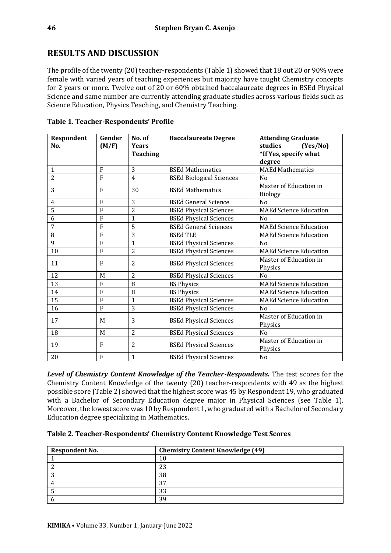## **RESULTS AND DISCUSSION**

The profile of the twenty (20) teacher-respondents (Table 1) showed that 18 out 20 or 90% were female with varied years of teaching experiences but majority have taught Chemistry concepts for 2 years or more. Twelve out of 20 or 60% obtained baccalaureate degrees in BSEd Physical Science and same number are currently attending graduate studies across various fields such as Science Education, Physics Teaching, and Chemistry Teaching.

| Respondent<br>No. | Gender<br>(M/F) | No. of<br><b>Years</b><br><b>Teaching</b> | <b>Baccalaureate Degree</b>     | <b>Attending Graduate</b><br>studies<br>(Yes/No)<br>*If Yes, specify what<br>degree |
|-------------------|-----------------|-------------------------------------------|---------------------------------|-------------------------------------------------------------------------------------|
| $\mathbf{1}$      | F               | 3                                         | <b>BSEd Mathematics</b>         | <b>MAEd Mathematics</b>                                                             |
| $\overline{2}$    | F               | $\overline{4}$                            | <b>BSEd Biological Sciences</b> | N <sub>0</sub>                                                                      |
| 3                 | F               | 30                                        | <b>BSEd Mathematics</b>         | Master of Education in<br>Biology                                                   |
| 4                 | F               | 3                                         | <b>BSEd General Science</b>     | N <sub>0</sub>                                                                      |
| 5                 | F               | 2                                         | <b>BSEd Physical Sciences</b>   | <b>MAEd Science Education</b>                                                       |
| 6                 | F               | $\mathbf{1}$                              | <b>BSEd Physical Sciences</b>   | N <sub>0</sub>                                                                      |
| 7                 | F               | 5                                         | <b>BSEd General Sciences</b>    | <b>MAEd Science Education</b>                                                       |
| 8                 | F               | 3                                         | <b>BSEd TLE</b>                 | <b>MAEd Science Education</b>                                                       |
| 9                 | F               | $\mathbf{1}$                              | <b>BSEd Physical Sciences</b>   | N <sub>0</sub>                                                                      |
| 10                | F               | $\overline{2}$                            | <b>BSEd Physical Sciences</b>   | <b>MAEd Science Education</b>                                                       |
| 11                | F               | 2                                         | <b>BSEd Physical Sciences</b>   | Master of Education in<br>Physics                                                   |
| 12                | M               | 2                                         | <b>BSEd Physical Sciences</b>   | N <sub>0</sub>                                                                      |
| 13                | F               | 8                                         | <b>BS Physics</b>               | <b>MAEd Science Education</b>                                                       |
| 14                | F               | 8                                         | <b>BS Physics</b>               | <b>MAEd Science Education</b>                                                       |
| 15                | F               | 1                                         | <b>BSEd Physical Sciences</b>   | <b>MAEd Science Education</b>                                                       |
| 16                | F               | 3                                         | <b>BSEd Physical Sciences</b>   | No                                                                                  |
| 17                | M               | 3                                         | <b>BSEd Physical Sciences</b>   | Master of Education in<br>Physics                                                   |
| 18                | M               | $\overline{2}$                            | <b>BSEd Physical Sciences</b>   | N <sub>0</sub>                                                                      |
| 19                | F               | 2                                         | <b>BSEd Physical Sciences</b>   | Master of Education in<br>Physics                                                   |
| 20                | F               | $\mathbf{1}$                              | <b>BSEd Physical Sciences</b>   | No                                                                                  |

**Table 1. Teacher-Respondents' Profile**

*Level of Chemistry Content Knowledge of the Teacher-Respondents.* The test scores for the Chemistry Content Knowledge of the twenty (20) teacher-respondents with 49 as the highest possible score (Table 2) showed that the highest score was 45 by Respondent 19, who graduated with a Bachelor of Secondary Education degree major in Physical Sciences (see Table 1). Moreover, the lowest score was 10 by Respondent 1, who graduated with a Bachelor of Secondary Education degree specializing in Mathematics.

| Table 2. Teacher-Respondents' Chemistry Content Knowledge Test Scores |  |
|-----------------------------------------------------------------------|--|
|                                                                       |  |

| <b>Respondent No.</b> | <b>Chemistry Content Knowledge (49)</b> |
|-----------------------|-----------------------------------------|
|                       | 10                                      |
|                       | 23                                      |
|                       | 38                                      |
|                       | 37                                      |
|                       | 33                                      |
|                       | 39                                      |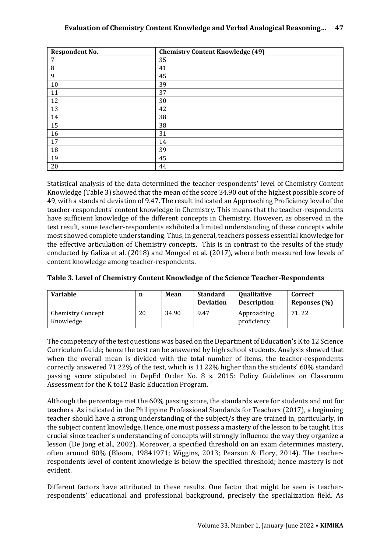#### **Evaluation of Chemistry Content Knowledge and Verbal Analogical Reasoning… 47**

| <b>Respondent No.</b> | <b>Chemistry Content Knowledge (49)</b> |
|-----------------------|-----------------------------------------|
| 7                     | 35                                      |
| 8                     | 41                                      |
| 9                     | 45                                      |
| 10                    | 39                                      |
| 11                    | 37                                      |
| 12                    | 30                                      |
| 13                    | 42                                      |
| 14                    | 38                                      |
| 15                    | 38                                      |
| 16                    | 31                                      |
| 17                    | 14                                      |
| 18                    | 39                                      |
| 19                    | 45                                      |
| 20                    | 44                                      |

Statistical analysis of the data determined the teacher-respondents' level of Chemistry Content Knowledge (Table 3) showed that the mean of the score 34.90 out of the highest possible score of 49, with a standard deviation of 9.47. The result indicated an Approaching Proficiency level of the teacher-respondents' content knowledge in Chemistry. This means that the teacher-respondents have sufficient knowledge of the different concepts in Chemistry. However, as observed in the test result, some teacher-respondents exhibited a limited understanding of these concepts while most showed complete understanding. Thus, in general, teachers possess essential knowledge for the effective articulation of Chemistry concepts. This is in contrast to the results of the study conducted by Galiza et al. (2018) and Mongcal et al. (2017), where both measured low levels of content knowledge among teacher-respondents.

|  | Table 3. Level of Chemistry Content Knowledge of the Science Teacher-Respondents |  |
|--|----------------------------------------------------------------------------------|--|
|--|----------------------------------------------------------------------------------|--|

| <b>Variable</b>                       | n  | Mean  | <b>Standard</b><br><b>Deviation</b> | Qualitative<br><b>Description</b> | Correct<br>Reponses (%) |
|---------------------------------------|----|-------|-------------------------------------|-----------------------------------|-------------------------|
| <b>Chemistry Concept</b><br>Knowledge | 20 | 34.90 | 9.47                                | Approaching<br>proficiency        | 71.22                   |

The competency of the test questions was based on the Department of Education's K to 12 Science Curriculum Guide; hence the test can be answered by high school students. Analysis showed that when the overall mean is divided with the total number of items, the teacher-respondents correctly answered 71.22% of the test, which is 11.22% higher than the students' 60% standard passing score stipulated in DepEd Order No. 8 s. 2015: Policy Guidelines on Classroom Assessment for the K to12 Basic Education Program.

Although the percentage met the 60% passing score, the standards were for students and not for teachers. As indicated in the Philippine Professional Standards for Teachers (2017), a beginning teacher should have a strong understanding of the subject/s they are trained in, particularly, in the subject content knowledge. Hence, one must possess a mastery of the lesson to be taught. It is crucial since teacher's understanding of concepts will strongly influence the way they organize a lesson (De Jong et al., 2002). Moreover, a specified threshold on an exam determines mastery, often around 80% (Bloom, 19841971; Wiggins, 2013; Pearson & Flory, 2014). The teacherrespondents level of content knowledge is below the specified threshold; hence mastery is not evident.

Different factors have attributed to these results. One factor that might be seen is teacherrespondents' educational and professional background, precisely the specialization field. As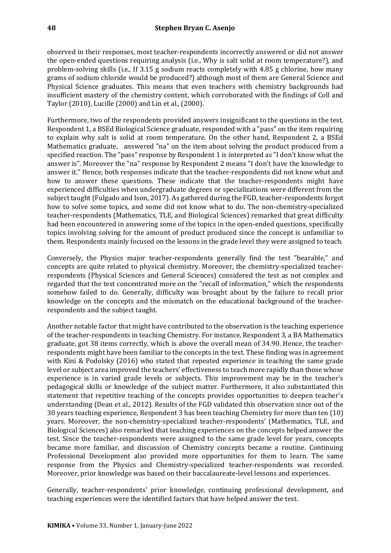observed in their responses, most teacher-respondents incorrectly answered or did not answer the open-ended questions requiring analysis (i.e., Why is salt solid at room temperature?), and problem-solving skills (i.e., If 3.15 g sodium reacts completely with 4.85 g chlorine, how many grams of sodium chloride would be produced?) although most of them are General Science and Physical Science graduates. This means that even teachers with chemistry backgrounds had insufficient mastery of the chemistry content, which corroborated with the findings of Coll and Taylor (2010), Lucille (2000) and Lin et al., (2000).

Furthermore, two of the respondents provided answers insignificant to the questions in the test. Respondent 1, a BSEd Biological Science graduate, responded with a "pass" on the item requiring to explain why salt is solid at room temperature. On the other hand, Respondent 2, a BSEd Mathematics graduate, answered "na" on the item about solving the product produced from a specified reaction. The "pass" response by Respondent 1 is interpreted as "I don't know what the answer is". Moreover the "na" response by Respondent 2 means "I don't have the knowledge to answer it." Hence, both responses indicate that the teacher-respondents did not know what and how to answer these questions. These indicate that the teacher-respondents might have experienced difficulties when undergraduate degrees or specializations were different from the subject taught (Fulgado and Ison, 2017). As gathered during the FGD, teacher-respondents forgot how to solve some topics, and some did not know what to do. The non-chemistry-specialized teacher-respondents (Mathematics, TLE, and Biological Sciences) remarked that great difficulty had been encountered in answering some of the topics in the open-ended questions, specifically topics involving solving for the amount of product produced since the concept is unfamiliar to them. Respondents mainly focused on the lessons in the grade level they were assigned to teach.

Conversely, the Physics major teacher-respondents generally find the test "bearable," and concepts are quite related to physical chemistry. Moreover, the chemistry-specialized teacherrespondents (Physical Sciences and General Sciences) considered the test as not complex and regarded that the test concentrated more on the "recall of information," which the respondents somehow failed to do. Generally, difficulty was brought about by the failure to recall prior knowledge on the concepts and the mismatch on the educational background of the teacherrespondents and the subject taught.

Another notable factor that might have contributed to the observation is the teaching experience of the teacher-respondents in teaching Chemistry. For instance, Respondent 3, a BA Mathematics graduate, got 38 items correctly, which is above the overall mean of 34.90. Hence, the teacherrespondents might have been familiar to the concepts in the test. These finding was in agreement with Kini & Podolsky (2016) who stated that repeated experience in teaching the same grade level or subject area improved the teachers' effectiveness to teach more rapidly than those whose experience is in varied grade levels or subjects. This improvement may be in the teacher's pedagogical skills or knowledge of the subject matter. Furthermore, it also substantiated this statement that repetitive teaching of the concepts provides opportunities to deepen teacher's understanding (Dean et al., 2012). Results of the FGD validated this observation since out of the 30 years teaching experience, Respondent 3 has been teaching Chemistry for more than ten (10) years. Moreover, the non-chemistry-specialized teacher-respondents' (Mathematics, TLE, and Biological Sciences) also remarked that teaching experiences on the concepts helped answer the test. Since the teacher-respondents were assigned to the same grade level for years, concepts became more familiar, and discussion of Chemistry concepts became a routine. Continuing Professional Development also provided more opportunities for them to learn. The same response from the Physics and Chemistry-specialized teacher-respondents was recorded. Moreover, prior knowledge was based on their baccalaureate-level lessons and experiences.

Generally, teacher-respondents' prior knowledge, continuing professional development, and teaching experiences were the identified factors that have helped answer the test.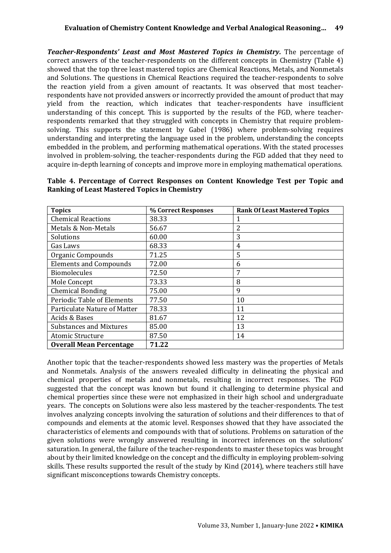*Teacher-Respondents' Least and Most Mastered Topics in Chemistry.* The percentage of correct answers of the teacher-respondents on the different concepts in Chemistry (Table 4) showed that the top three least mastered topics are Chemical Reactions, Metals, and Nonmetals and Solutions. The questions in Chemical Reactions required the teacher-respondents to solve the reaction yield from a given amount of reactants. It was observed that most teacherrespondents have not provided answers or incorrectly provided the amount of product that may yield from the reaction, which indicates that teacher-respondents have insufficient understanding of this concept. This is supported by the results of the FGD, where teacherrespondents remarked that they struggled with concepts in Chemistry that require problemsolving. This supports the statement by Gabel (1986) where problem-solving requires understanding and interpreting the language used in the problem, understanding the concepts embedded in the problem, and performing mathematical operations. With the stated processes involved in problem-solving, the teacher-respondents during the FGD added that they need to acquire in-depth learning of concepts and improve more in employing mathematical operations.

| <b>Topics</b>                  | % Correct Responses | <b>Rank Of Least Mastered Topics</b> |
|--------------------------------|---------------------|--------------------------------------|
| <b>Chemical Reactions</b>      | 38.33               | 1                                    |
| Metals & Non-Metals            | 56.67               | 2                                    |
| Solutions                      | 60.00               | 3                                    |
| Gas Laws                       | 68.33               | 4                                    |
| Organic Compounds              | 71.25               | 5                                    |
| <b>Elements and Compounds</b>  | 72.00               | 6                                    |
| <b>Biomolecules</b>            | 72.50               | 7                                    |
| Mole Concept                   | 73.33               | 8                                    |
| <b>Chemical Bonding</b>        | 75.00               | 9                                    |
| Periodic Table of Elements     | 77.50               | 10                                   |
| Particulate Nature of Matter   | 78.33               | 11                                   |
| Acids & Bases                  | 81.67               | 12                                   |
| <b>Substances and Mixtures</b> | 85.00               | 13                                   |
| <b>Atomic Structure</b>        | 87.50               | 14                                   |
| <b>Overall Mean Percentage</b> | 71.22               |                                      |

**Table 4. Percentage of Correct Responses on Content Knowledge Test per Topic and Ranking of Least Mastered Topics in Chemistry**

Another topic that the teacher-respondents showed less mastery was the properties of Metals and Nonmetals. Analysis of the answers revealed difficulty in delineating the physical and chemical properties of metals and nonmetals, resulting in incorrect responses. The FGD suggested that the concept was known but found it challenging to determine physical and chemical properties since these were not emphasized in their high school and undergraduate years. The concepts on Solutions were also less mastered by the teacher-respondents. The test involves analyzing concepts involving the saturation of solutions and their differences to that of compounds and elements at the atomic level. Responses showed that they have associated the characteristics of elements and compounds with that of solutions. Problems on saturation of the given solutions were wrongly answered resulting in incorrect inferences on the solutions' saturation. In general, the failure of the teacher-respondents to master these topics was brought about by their limited knowledge on the concept and the difficulty in employing problem-solving skills. These results supported the result of the study by Kind (2014), where teachers still have significant misconceptions towards Chemistry concepts.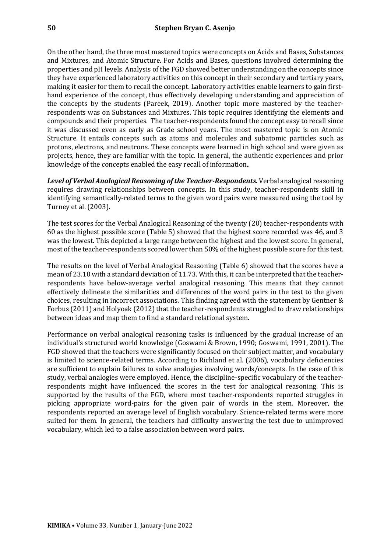On the other hand, the three most mastered topics were concepts on Acids and Bases, Substances and Mixtures, and Atomic Structure. For Acids and Bases, questions involved determining the properties and pH levels. Analysis of the FGD showed better understanding on the concepts since they have experienced laboratory activities on this concept in their secondary and tertiary years, making it easier for them to recall the concept. Laboratory activities enable learners to gain firsthand experience of the concept, thus effectively developing understanding and appreciation of the concepts by the students (Pareek, 2019). Another topic more mastered by the teacherrespondents was on Substances and Mixtures. This topic requires identifying the elements and compounds and their properties. The teacher-respondents found the concept easy to recall since it was discussed even as early as Grade school years. The most mastered topic is on Atomic Structure. It entails concepts such as atoms and molecules and subatomic particles such as protons, electrons, and neutrons. These concepts were learned in high school and were given as projects, hence, they are familiar with the topic. In general, the authentic experiences and prior knowledge of the concepts enabled the easy recall of information..

*Level of Verbal Analogical Reasoning of the Teacher-Respondents.* Verbal analogical reasoning requires drawing relationships between concepts. In this study, teacher-respondents skill in identifying semantically-related terms to the given word pairs were measured using the tool by Turney et al. (2003).

The test scores for the Verbal Analogical Reasoning of the twenty (20) teacher-respondents with 60 as the highest possible score (Table 5) showed that the highest score recorded was 46, and 3 was the lowest. This depicted a large range between the highest and the lowest score. In general, most of the teacher-respondents scored lower than 50% of the highest possible score for this test.

The results on the level of Verbal Analogical Reasoning (Table 6) showed that the scores have a mean of 23.10 with a standard deviation of 11.73. With this, it can be interpreted that the teacherrespondents have below-average verbal analogical reasoning. This means that they cannot effectively delineate the similarities and differences of the word pairs in the test to the given choices, resulting in incorrect associations. This finding agreed with the statement by Gentner & Forbus (2011) and Holyoak (2012) that the teacher-respondents struggled to draw relationships between ideas and map them to find a standard relational system.

Performance on verbal analogical reasoning tasks is influenced by the gradual increase of an individual's structured world knowledge (Goswami & Brown, 1990; Goswami, 1991, 2001). The FGD showed that the teachers were significantly focused on their subject matter, and vocabulary is limited to science-related terms. According to Richland et al. (2006), vocabulary deficiencies are sufficient to explain failures to solve analogies involving words/concepts. In the case of this study, verbal analogies were employed. Hence, the discipline-specific vocabulary of the teacherrespondents might have influenced the scores in the test for analogical reasoning. This is supported by the results of the FGD, where most teacher-respondents reported struggles in picking appropriate word-pairs for the given pair of words in the stem. Moreover, the respondents reported an average level of English vocabulary. Science-related terms were more suited for them. In general, the teachers had difficulty answering the test due to unimproved vocabulary, which led to a false association between word pairs.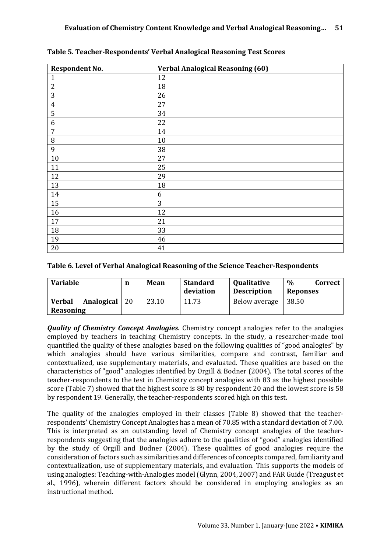| <b>Respondent No.</b> | <b>Verbal Analogical Reasoning (60)</b> |
|-----------------------|-----------------------------------------|
| $\mathbf{1}$          | 12                                      |
| $\boldsymbol{2}$      | 18                                      |
| 3                     | 26                                      |
| $\boldsymbol{4}$      | 27                                      |
| 5                     | 34                                      |
| 6                     | 22                                      |
| 7                     | 14                                      |
| $\, 8$                | 10                                      |
| 9                     | 38                                      |
| 10                    | 27                                      |
| 11                    | 25                                      |
| 12                    | 29                                      |
| 13                    | 18                                      |
| 14                    | 6                                       |
| 15                    | 3                                       |
| 16                    | 12                                      |
| 17                    | 21                                      |
| 18                    | 33                                      |
| 19                    | 46                                      |
| 20                    | 41                                      |

**Table 5. Teacher-Respondents' Verbal Analogical Reasoning Test Scores**

#### **Table 6. Level of Verbal Analogical Reasoning of the Science Teacher-Respondents**

| <b>Variable</b>                          | n  | Mean  | <b>Standard</b><br>deviation | <b>Qualitative</b><br><b>Description</b> | $\%$<br>Correct<br><b>Reponses</b> |
|------------------------------------------|----|-------|------------------------------|------------------------------------------|------------------------------------|
| <b>Verbal</b><br>Analogical<br>Reasoning | 20 | 23.10 | 11.73                        | Below average                            | 38.50                              |

*Quality of Chemistry Concept Analogies.* Chemistry concept analogies refer to the analogies employed by teachers in teaching Chemistry concepts. In the study, a researcher-made tool quantified the quality of these analogies based on the following qualities of "good analogies" by which analogies should have various similarities, compare and contrast, familiar and contextualized, use supplementary materials, and evaluated. These qualities are based on the characteristics of "good" analogies identified by Orgill & Bodner (2004). The total scores of the teacher-respondents to the test in Chemistry concept analogies with 83 as the highest possible score (Table 7) showed that the highest score is 80 by respondent 20 and the lowest score is 58 by respondent 19. Generally, the teacher-respondents scored high on this test.

The quality of the analogies employed in their classes (Table 8) showed that the teacherrespondents' Chemistry Concept Analogies has a mean of 70.85 with a standard deviation of 7.00. This is interpreted as an outstanding level of Chemistry concept analogies of the teacherrespondents suggesting that the analogies adhere to the qualities of "good" analogies identified by the study of Orgill and Bodner (2004). These qualities of good analogies require the consideration of factors such as similarities and differences of concepts compared, familiarity and contextualization, use of supplementary materials, and evaluation. This supports the models of using analogies: Teaching-with-Analogies model (Glynn, 2004, 2007) and FAR Guide (Treagust et al., 1996), wherein different factors should be considered in employing analogies as an instructional method.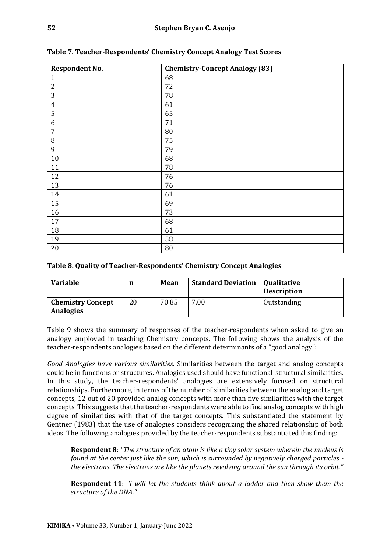| <b>Respondent No.</b> | <b>Chemistry-Concept Analogy (83)</b> |
|-----------------------|---------------------------------------|
| $\mathbf{1}$          | 68                                    |
| $\overline{2}$        | 72                                    |
| 3                     | 78                                    |
| $\overline{4}$        | 61                                    |
| 5                     | 65                                    |
| 6                     | 71                                    |
| $\overline{7}$        | 80                                    |
| 8                     | 75                                    |
| 9                     | 79                                    |
| 10                    | 68                                    |
| 11                    | 78                                    |
| 12                    | 76                                    |
| 13                    | 76                                    |
| 14                    | 61                                    |
| 15                    | 69                                    |
| 16                    | 73                                    |
| 17                    | 68                                    |
| 18                    | 61                                    |
| 19                    | 58                                    |
| 20                    | 80                                    |

**Table 7. Teacher-Respondents' Chemistry Concept Analogy Test Scores**

#### **Table 8. Quality of Teacher-Respondents' Chemistry Concept Analogies**

| <b>Variable</b>                              | n  | Mean  | <b>Standard Deviation</b> | <b>Qualitative</b><br><b>Description</b> |
|----------------------------------------------|----|-------|---------------------------|------------------------------------------|
| <b>Chemistry Concept</b><br><b>Analogies</b> | 20 | 70.85 | 7.00                      | Outstanding                              |

Table 9 shows the summary of responses of the teacher-respondents when asked to give an analogy employed in teaching Chemistry concepts. The following shows the analysis of the teacher-respondents analogies based on the different determinants of a "good analogy":

*Good Analogies have various similarities.* Similarities between the target and analog concepts could be in functions or structures. Analogies used should have functional-structural similarities. In this study, the teacher-respondents' analogies are extensively focused on structural relationships. Furthermore, in terms of the number of similarities between the analog and target concepts, 12 out of 20 provided analog concepts with more than five similarities with the target concepts. This suggests that the teacher-respondents were able to find analog concepts with high degree of similarities with that of the target concepts. This substantiated the statement by Gentner (1983) that the use of analogies considers recognizing the shared relationship of both ideas. The following analogies provided by the teacher-respondents substantiated this finding:

**Respondent 8**: *"The structure of an atom is like a tiny solar system wherein the nucleus is found at the center just like the sun, which is surrounded by negatively charged particles the electrons. The electrons are like the planets revolving around the sun through its orbit."*

**Respondent 11**: *"I will let the students think about a ladder and then show them the structure of the DNA."*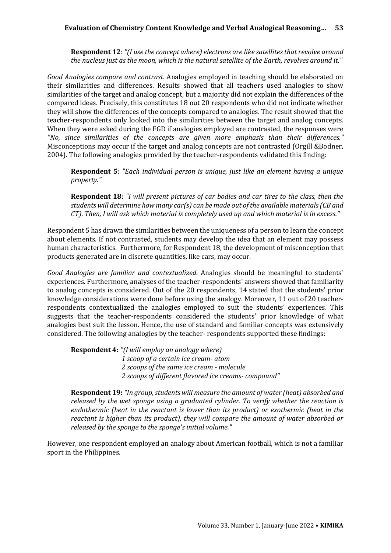**Respondent 12**: *"(I use the concept where) electrons are like satellites that revolve around the nucleus just as the moon, which is the natural satellite of the Earth, revolves around it."*

*Good Analogies compare and contrast.* Analogies employed in teaching should be elaborated on their similarities and differences. Results showed that all teachers used analogies to show similarities of the target and analog concept, but a majority did not explain the differences of the compared ideas. Precisely, this constitutes 18 out 20 respondents who did not indicate whether they will show the differences of the concepts compared to analogies. The result showed that the teacher-respondents only looked into the similarities between the target and analog concepts. When they were asked during the FGD if analogies employed are contrasted, the responses were *"No, since similarities of the concepts are given more emphasis than their differences."*  Misconceptions may occur if the target and analog concepts are not contrasted (Orgill &Bodner, 2004). The following analogies provided by the teacher-respondents validated this finding:

**Respondent 5**: *"Each individual person is unique, just like an element having a unique property."*

**Respondent 18**: *"I will present pictures of car bodies and car tires to the class, then the students will determine how many car(s) can be made out of the available materials (CB and CT). Then, I will ask which material is completely used up and which material is in excess."*

Respondent 5 has drawn the similarities between the uniqueness of a person to learn the concept about elements. If not contrasted, students may develop the idea that an element may possess human characteristics. Furthermore, for Respondent 18, the development of misconception that products generated are in discrete quantities, like cars, may occur.

*Good Analogies are familiar and contextualized.* Analogies should be meaningful to students' experiences. Furthermore, analyses of the teacher-respondents' answers showed that familiarity to analog concepts is considered. Out of the 20 respondents, 14 stated that the students' prior knowledge considerations were done before using the analogy. Moreover, 11 out of 20 teacherrespondents contextualized the analogies employed to suit the students' experiences. This suggests that the teacher-respondents considered the students' prior knowledge of what analogies best suit the lesson. Hence, the use of standard and familiar concepts was extensively considered. The following analogies by the teacher- respondents supported these findings:

**Respondent 4:** *"(I will employ an analogy where)* 

*1 scoop of a certain ice cream- atom 2 scoops of the same ice cream - molecule 2 scoops of different flavored ice creams- compound"*

**Respondent 19:** *"In group, students will measure the amount of water (heat) absorbed and released by the wet sponge using a graduated cylinder. To verify whether the reaction is endothermic (heat in the reactant is lower than its product) or exothermic (heat in the reactant is higher than its product), they will compare the amount of water absorbed or released by the sponge to the sponge's initial volume."*

However, one respondent employed an analogy about American football, which is not a familiar sport in the Philippines.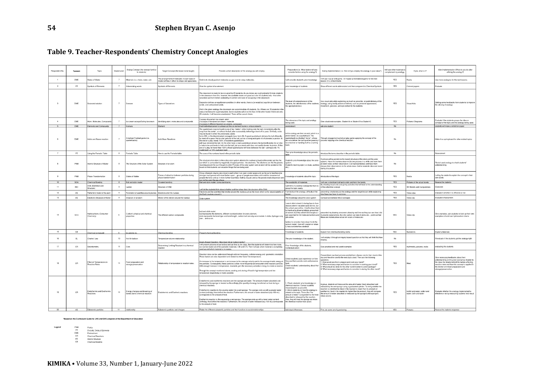### **Table 9. Teacher-Respondents' Chemistry Concept Analogies**

| Respondent No. | *Lesson     | Topic                                           | Grade Level    | Inalog Concept (the concept familia<br>to students)             | Target Concept (the lesson to be taught)                                                           | Provide a short description of the analogy you will employ.                                                                                                                                                                                                                                                                                                                                                                                                                                                                                                                                                                                                                                                                                                                                                                                                                                                                                                 | Preparation (i.e. What factors will you<br>consider before using the analogy?)                                                                                                                                                                                                                                                                                                 | During Implementation (i.e. How will you employ the analogy in your class?)                                                                                                                                                                                                                                                                                                                                                                        | will use other materials to<br>omplement my analogy | If yes, what is it?                                    | After implementation (What do you do after<br>utilizing the analogy?)                                                                                                                                                                                                  |
|----------------|-------------|-------------------------------------------------|----------------|-----------------------------------------------------------------|----------------------------------------------------------------------------------------------------|-------------------------------------------------------------------------------------------------------------------------------------------------------------------------------------------------------------------------------------------------------------------------------------------------------------------------------------------------------------------------------------------------------------------------------------------------------------------------------------------------------------------------------------------------------------------------------------------------------------------------------------------------------------------------------------------------------------------------------------------------------------------------------------------------------------------------------------------------------------------------------------------------------------------------------------------------------------|--------------------------------------------------------------------------------------------------------------------------------------------------------------------------------------------------------------------------------------------------------------------------------------------------------------------------------------------------------------------------------|----------------------------------------------------------------------------------------------------------------------------------------------------------------------------------------------------------------------------------------------------------------------------------------------------------------------------------------------------------------------------------------------------------------------------------------------------|-----------------------------------------------------|--------------------------------------------------------|------------------------------------------------------------------------------------------------------------------------------------------------------------------------------------------------------------------------------------------------------------------------|
|                | DME         | tates of Matter                                 | $\overline{7}$ | faterials (i.e. chairs, water, air)                             | The arrangement of molecules in each state of<br>natter ant how it affect its shape and apearance. | Solid is to closely packed molecules as gas is to far away molecules.                                                                                                                                                                                                                                                                                                                                                                                                                                                                                                                                                                                                                                                                                                                                                                                                                                                                                       | will consider student's prior knowledge                                                                                                                                                                                                                                                                                                                                        | I will use it as an end game. Or maybe a motivational game for the new<br>sson. Or a refreshments                                                                                                                                                                                                                                                                                                                                                  | YES                                                 | <b>lealia</b>                                          | Use more analogies for the next lessons.                                                                                                                                                                                                                               |
|                | PT          | wmbols of Elements                              | 7              | Abbreviating words                                              | <b>Symbols of Elements</b>                                                                         | Give the symbol of an element                                                                                                                                                                                                                                                                                                                                                                                                                                                                                                                                                                                                                                                                                                                                                                                                                                                                                                                               | prior knowledge of students                                                                                                                                                                                                                                                                                                                                                    | Show different words abbreviated and then compare it to Chemical Symbols                                                                                                                                                                                                                                                                                                                                                                           | <b>YES</b>                                          | olored papers                                          | Evaluate                                                                                                                                                                                                                                                               |
|                | DME         | Saturated solution                              | $\mathcal{I}$  | Seesaw                                                          | Types of Saturations                                                                               | The classroom is ready to be occurried by 45 students. As you know, we could probably fit more students<br>in the classroom than this, however, the available chairs are good as is for 45 students only - this is the<br>saturation point of relative availability of comfort and ease of occupying in the classroom<br>Saturation defines an equilibrium condition, in other words, there is (or would be) equilibrium between<br>solute, and undissolved solute.<br>And in the given analogy, the classroom can accommodate 45 students. So, if there are 70 students in the<br>class, it will become supersaturated. Some students will sit on the floor. In the other hand, if there are only<br>20 students, it will become unsaturated. There will be vacant chairs.                                                                                                                                                                                 | The level of comprehension of the<br>students, the attentiveness of the students.<br>le appropriateness                                                                                                                                                                                                                                                                        | Itse visual aids while explaining as much as possible, on point delivery of the<br>analogy, using bodily actions of delivery such as personal appearance,<br>ovement, gestures, and eye contact to the students.                                                                                                                                                                                                                                   | YES                                                 | Visual Aids                                            | Getting some feedbacks from students to improv<br>the utilizing of analogy                                                                                                                                                                                             |
|                | DME         | tom, Molecules, Compound                        | $\overline{7}$ | Ice cream scoops/Eating Ice cream                               | dentifying atom, molecules and compounds                                                           | 1 scopp of a certain ice cream- atom<br>scoops of the same ice cream - molecule<br>scoops of different flavored ice creams- compound                                                                                                                                                                                                                                                                                                                                                                                                                                                                                                                                                                                                                                                                                                                                                                                                                        | The relevance of the topic and analogy<br>heing used.                                                                                                                                                                                                                                                                                                                          | Sive situational examples. Student A vs Student B vs Student C                                                                                                                                                                                                                                                                                                                                                                                     | YES                                                 | <sup>3</sup> ictures/Diagrams                          | Evaluate if the students grasps the idea or<br>concept of the topic and the analogy being used.                                                                                                                                                                        |
|                | <b>DMF</b>  | Elements and Compounds                          |                | Humans                                                          | Element                                                                                            | Each individual person is unique just like an element having a unique property                                                                                                                                                                                                                                                                                                                                                                                                                                                                                                                                                                                                                                                                                                                                                                                                                                                                              | mironment.                                                                                                                                                                                                                                                                                                                                                                     | ask one student                                                                                                                                                                                                                                                                                                                                                                                                                                    | No                                                  |                                                        | students will make a refelction paper                                                                                                                                                                                                                                  |
|                | DME         | Acids and Rases reaction                        |                | American Football game (i.e.<br>uarterbacks)                    | Acid-Rase Reactions                                                                                | The quarterback may be found in one of two "states": either holding onto the ball, immediately after the<br>snap from the center , or without the ball, after successfully delivering a hand-off or pass. Similarly, acids<br>may be found in either the protonated, acidic<br>form (HB), or the deprotonated, conjugate base form (B). A good quarterback delivers the ball efficiently,<br>by hand-off or pass. He (or she) gets rid of the ball, just as a strong acid gets rid of (donates) a proton. At<br>the end of a play, nearly 100% of excellent quarterbacks.<br>will have delivered the ball. On the other hand, a bad quarterback delivers the ball inefficiently; he (or she)<br>is indecisive and tends to hold onto the ball, just as a weak acid does not readily donate its proton. At the<br>end of a play, far fewer than 100% of bad quarterbacks will have delivered the ball-perhaps only 1%<br>ally bad!) or 10% (just plain bad). | n this analogy we liken an acid, which is<br>oton donor, to a quarterback: The<br>uarterback is a football "donor", whose<br>to a receiver or handing it off to a running<br>hack                                                                                                                                                                                              | frough engagement activity or play game applying the concept of the<br>b is to deliver the ball by either passing it process happing n the chemical reaction                                                                                                                                                                                                                                                                                       | No                                                  |                                                        | Make it as springboard for other related topics                                                                                                                                                                                                                        |
|                | PT          | Jsing the Periodic Table                        | 8              | Periodic Table                                                  | low to use the Periodic table                                                                      | The uses of the numbers found in the periodic table                                                                                                                                                                                                                                                                                                                                                                                                                                                                                                                                                                                                                                                                                                                                                                                                                                                                                                         | Their prior knowledge about the periodic                                                                                                                                                                                                                                                                                                                                       | troduce the terms describe in the periodic table                                                                                                                                                                                                                                                                                                                                                                                                   | No                                                  |                                                        | Assessment                                                                                                                                                                                                                                                             |
|                | PNM         | Atomic Structure of Matter                      | -8             | The Structure of the Solar System                               | Structure of an atom                                                                               | The structure of an atom is like a tiny solar system wherein the nucleus is found at the center just like the<br>sun which is surrounded by negatively charged particles - the electrons. The electrons are like the planets<br>evolving around the sun through its orbit. Pictures of the solar system and an atom will be posted on the<br>board so that students can visualize things that are being said.                                                                                                                                                                                                                                                                                                                                                                                                                                                                                                                                               | tudent's prior knowledge about the solar<br>Student's learning style (i.e visula, auditor                                                                                                                                                                                                                                                                                      | A picture will be posted on the board (structure of the atom and the solar<br>ystem). Have the learners observe the two pictures in a while and have then<br>iot down notes on their observation. Call representatives and have them<br>discuss their observations to the whole class. Gather students idea and revisi<br>uring discussion                                                                                                         | No.                                                 |                                                        | Revisit used analogy to check students'<br>nderstanding                                                                                                                                                                                                                |
|                | PNM         | Phase Transformation                            |                | <b>States of Matter</b>                                         | orces of attraction between particles during<br>thase transformation                               | Group of people staying very close to each other in an open cooler space and as the sun's heat become<br>stronger each person will move farther apart group of people resembles solid and the movement of<br>eople the force and as it move farther resembles melting (liquud) and as the people totally dispersed and<br>can not be seen the gas phase.                                                                                                                                                                                                                                                                                                                                                                                                                                                                                                                                                                                                    | owledge of students about the topic                                                                                                                                                                                                                                                                                                                                            | troduction of the topic                                                                                                                                                                                                                                                                                                                                                                                                                            | YES                                                 | salis                                                  | Letting the student's explain the concept in their<br>own words                                                                                                                                                                                                        |
|                | SOA         | Chemical Bonding                                |                | Ball and stick model                                            | covalent bonding                                                                                   | Ball and stick model. Using styrofoams                                                                                                                                                                                                                                                                                                                                                                                                                                                                                                                                                                                                                                                                                                                                                                                                                                                                                                                      | The availability of materials.                                                                                                                                                                                                                                                                                                                                                 | I will use a styrofoam ball and a stick and form the bonds.<br>By showing visual aids and giving activities that will lead to the understanding                                                                                                                                                                                                                                                                                                    | YES                                                 | Pictures of the actual bonds                           | Assess the students                                                                                                                                                                                                                                                    |
| 11             | <b>BIO</b>  | DNA (Definition and<br>Structure)               | $\alpha$       | adder                                                           | Structure of DNA                                                                                   | will let the students think about a ladder and then show them the structure of the DNA                                                                                                                                                                                                                                                                                                                                                                                                                                                                                                                                                                                                                                                                                                                                                                                                                                                                      | I will think of a familiar concept for them to<br>grasp the topic easily                                                                                                                                                                                                                                                                                                       | of the unfamiliar concept                                                                                                                                                                                                                                                                                                                                                                                                                          | <b>YES</b>                                          | 3D Models and manipulatives                            | Flaborate                                                                                                                                                                                                                                                              |
| 12             | AS          | Rutherford model of the ator                    | $\mathbf{Q}$   | levolution of satellites around planets                         | Electrons orbit the nuclues                                                                        | Electrons are like satellites that revolve around the nucleus just as the moon which is the natural satellite of<br>the Earth revolves around it.                                                                                                                                                                                                                                                                                                                                                                                                                                                                                                                                                                                                                                                                                                                                                                                                           | amiliarity of the analogy, difficulty of the                                                                                                                                                                                                                                                                                                                                   | resenting simultaneously the analogy and the target lesson while explaining<br>w these two have in comm                                                                                                                                                                                                                                                                                                                                            | YES                                                 | /ideo clips                                            | valuate it whether it is effective or not                                                                                                                                                                                                                              |
| 13             | AS          | Electronic Structure of Matter                  | 9              | Structure of an atom                                            | notion of the elctron around the nucleus                                                           | Solar systen                                                                                                                                                                                                                                                                                                                                                                                                                                                                                                                                                                                                                                                                                                                                                                                                                                                                                                                                                | The knowledge about the solar system                                                                                                                                                                                                                                                                                                                                           | omparison between the 2 concepts                                                                                                                                                                                                                                                                                                                                                                                                                   | YES                                                 | /ideo clip                                             | Evaluation/Asessment                                                                                                                                                                                                                                                   |
|                | VCC         | lydrocarbons (Consume<br>hemistry)              | $\mathbf{Q}$   | Carbon's physical and chemical<br>roperties                     | The different carbon compounds                                                                     | ball and stick model<br>ball represents the elements, different standard colors for every element,<br>stick represents the bond type and bond length, carbon ball can only accomodate 4 sticks, hydrogen only<br>one  and so on.                                                                                                                                                                                                                                                                                                                                                                                                                                                                                                                                                                                                                                                                                                                            | wasn't able to teach it during face to face<br>classes where i wouldve used 3d kits, but<br>this school year, online, i tried to draw then<br>by hand using drawing tablets, presented<br>on screen, but they werent 3d enough so i<br>gits online.<br>factors to consider: how close it is to the<br>orrect model, how will i explain or rela<br>t. how concrete/how abstract | eserted my drawing on screen, drawing real time so they can see how i did<br>just searched for 3d molecule builders and it, provide explanations, like why carbon can take 4 sticks etc, point out that<br>hese are models show actual em scans of molecules                                                                                                                                                                                       | YES                                                 | Video clip                                             | Give examples, ask students to look up their own<br>vamples or build own hydrocarbon chains                                                                                                                                                                            |
| 15             | $_{\rm CB}$ | hemical compound                                |                | lon atomic no                                                   | Chemical bonding                                                                                   | resert chemical bonding                                                                                                                                                                                                                                                                                                                                                                                                                                                                                                                                                                                                                                                                                                                                                                                                                                                                                                                                     | Knowledge of students                                                                                                                                                                                                                                                                                                                                                          | Explain how chemical bonding works                                                                                                                                                                                                                                                                                                                                                                                                                 | YES                                                 | <b>Ilustrations</b>                                    | Explain ellaborate                                                                                                                                                                                                                                                     |
|                | GL          | Charles' Law                                    |                | Hot Air balloon                                                 | femperature-volume relationship                                                                    |                                                                                                                                                                                                                                                                                                                                                                                                                                                                                                                                                                                                                                                                                                                                                                                                                                                                                                                                                             | The prior knowledge of the student.                                                                                                                                                                                                                                                                                                                                            | will employ it through an inquiry based question so that they will think first how<br><b>sunder</b>                                                                                                                                                                                                                                                                                                                                                |                                                     |                                                        | Ill evaluate if the students got the analogy right                                                                                                                                                                                                                     |
| 17             | CR          | Stoichiometry                                   | 11             | Cars                                                            | Determining Limiting Reactant in a chemical<br>eaction                                             | rquiry-Based Question: How does hot air balloon works?<br>I will present pictures of car bodies and car tires to the class. then the students will determine how many<br>car can be made out of the available materials (CB and CT). Then I will ask which material is complete).<br>sed up and which material is in excess                                                                                                                                                                                                                                                                                                                                                                                                                                                                                                                                                                                                                                 | Prior Knowledge of the students<br>noitestigutento."                                                                                                                                                                                                                                                                                                                           | 3ive practical and real world examples                                                                                                                                                                                                                                                                                                                                                                                                             | YES                                                 | nultimedia, pictures, realia                           | evaluating the students                                                                                                                                                                                                                                                |
|                | CR          | Fect of Temperature on<br><b>Reaction Rates</b> | 11             | ood preparation and<br>torage/preservatio                       | Relationship of temperature to reaction rates.                                                     | Reaction rates can be understood through collision frequency, collision energy and geometric orientation<br>These factors are also dependent and related to other factor like temperature.<br>in increase to the temperature is an increase to the average velocity and to the average kinetic energy of<br>the particles. Consequently, these particles collide more frequently and encounter other reactant particles<br>With enough increase in temperature, reactants gain the necessary activation energy to create a reaction<br>Through the concept mentioned above, cooking and storing of food in high temperature and low<br>emperature respectively is made possible.                                                                                                                                                                                                                                                                            | heck students' past experience on how<br>they see their parents cook and preserve<br>Check students' understanding about that<br>xperience                                                                                                                                                                                                                                     | resent them raw food pictures and let them choose one for their viand of the<br>lay and the other one for the next day's viand. Then ask the following<br>xestions<br>How would you like to prepare and cook your viand?<br>What necessary steps and factors to consider in cooking your viand?<br>What should be done for the other viand in order to avoid spoilage?<br>What necessary steps and factors to consider in storing the other viand? | YES                                                 |                                                        | Give necessary feedbacks about their<br>understanding on the given scenarios. Explain to<br>the class the details behind the factors affecting<br>reaction rates and how this concept is applied in<br>the kitchen or in food preparation and<br>storage/preservation. |
|                | CR          | Endothermic and Exothermic<br>leactions         | 11             | Energy changes and breaking of<br>onds due to chemical reaction | Endothermic and Exotheric reactions                                                                | Endothermic and exothermic reactions are like sponge and water. The amount of water absorbed and<br>released by the sponge is treated as the enthalpy (the quantity of energy transferred as heat during a<br>hemical reaction'<br>Endothermic reaction is like pouring water into a wet sponge. The sponge ends up with a greater water<br>content (enthalpy) than before the reaction. Furthermore, the amount of water absorbed (say 100 mL)<br>test to truoms off of chooper<br>Exothermic reaction is like squeezing a wet sponge. The sponge ends up with a lower water content<br>(enthalpy) than before the reaction. Furthermore, the amount of water released (say 100 mL) corresponds<br>to the amount of heat.                                                                                                                                                                                                                                  | Check students' prior knowledge on<br>hemical reaction. Correct students'<br>isconception as possible.<br>. Inform students on how the analogy is<br>lated to the topic. Terms like "the<br>pount of water" is equivalent to the hea<br>bsorbed or released by the reaction.<br>Also, they will treat the sponge as where<br>the chemical reaction took place.                 | group, students will measure the amount of water (heat) absorbed and<br>leased by the wet sponge using a graduated cylinder. To verify whether the<br>eaction is endothermic (heat in the reactant is lower than its product) or<br>exothermic iheat in the reactant is higher than its product), they will compare<br>the amount of water absorbed or released by the sponge to the sponge's<br>ritial volume.                                    | YES                                                 | loofah and water; cotton and<br>vater; cloth and water | Evaluate whether the analogy implemented is<br>effective or not by measuring students' test result                                                                                                                                                                     |

\*Based on the Curriculum Guide for JHS and SHS program of the Department of Education

Legend

PNM Partou<br>PT Periodic Table of Elements<br>DME Environment<br>CR Chemical Boardine<br>AS Abomic Structure<br>CB Chemical Bondina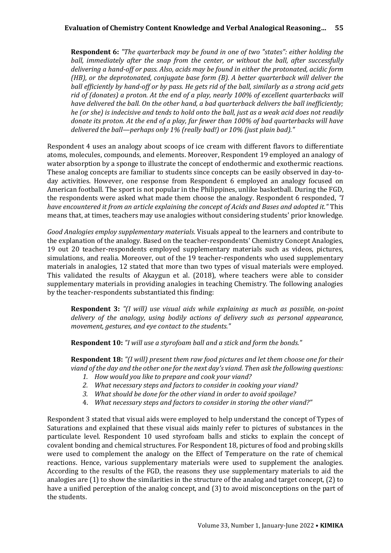**Respondent 6:** *"The quarterback may be found in one of two "states": either holding the ball, immediately after the snap from the center, or without the ball, after successfully delivering a hand-off or pass. Also, acids may be found in either the protonated, acidic form (HB), or the deprotonated, conjugate base form (B). A better quarterback will deliver the ball efficiently by hand-off or by pass. He gets rid of the ball, similarly as a strong acid gets rid of (donates) a proton. At the end of a play, nearly 100% of excellent quarterbacks will have delivered the ball. On the other hand, a bad quarterback delivers the ball inefficiently; he (or she) is indecisive and tends to hold onto the ball, just as a weak acid does not readily donate its proton. At the end of a play, far fewer than 100% of bad quarterbacks will have delivered the ball—perhaps only 1% (really bad!) or 10% (just plain bad)."*

Respondent 4 uses an analogy about scoops of ice cream with different flavors to differentiate atoms, molecules, compounds, and elements. Moreover, Respondent 19 employed an analogy of water absorption by a sponge to illustrate the concept of endothermic and exothermic reactions. These analog concepts are familiar to students since concepts can be easily observed in day-today activities. However, one response from Respondent 6 employed an analogy focused on American football. The sport is not popular in the Philippines, unlike basketball. During the FGD, the respondents were asked what made them choose the analogy. Respondent 6 responded, *"I have encountered it from an article explaining the concept of Acids and Bases and adopted it."* This means that, at times, teachers may use analogies without considering students' prior knowledge.

*Good Analogies employ supplementary materials.* Visuals appeal to the learners and contribute to the explanation of the analogy. Based on the teacher-respondents' Chemistry Concept Analogies, 19 out 20 teacher-respondents employed supplementary materials such as videos, pictures, simulations, and realia. Moreover, out of the 19 teacher-respondents who used supplementary materials in analogies, 12 stated that more than two types of visual materials were employed. This validated the results of Akaygun et al. (2018), where teachers were able to consider supplementary materials in providing analogies in teaching Chemistry. The following analogies by the teacher-respondents substantiated this finding:

**Respondent 3:** *"(I will) use visual aids while explaining as much as possible, on-point delivery of the analogy, using bodily actions of delivery such as personal appearance, movement, gestures, and eye contact to the students."*

**Respondent 10:** *"I will use a styrofoam ball and a stick and form the bonds."*

**Respondent 18:** *"(I will) present them raw food pictures and let them choose one for their viand of the day and the other one for the next day's viand. Then ask the following questions:*

- *1. How would you like to prepare and cook your viand?*
- *2. What necessary steps and factors to consider in cooking your viand?*
- *3. What should be done for the other viand in order to avoid spoilage?*
- 4. *What necessary steps and factors to consider in storing the other viand?"*

Respondent 3 stated that visual aids were employed to help understand the concept of Types of Saturations and explained that these visual aids mainly refer to pictures of substances in the particulate level. Respondent 10 used styrofoam balls and sticks to explain the concept of covalent bonding and chemical structures. For Respondent 18, pictures of food and probing skills were used to complement the analogy on the Effect of Temperature on the rate of chemical reactions. Hence, various supplementary materials were used to supplement the analogies. According to the results of the FGD, the reasons they use supplementary materials to aid the analogies are (1) to show the similarities in the structure of the analog and target concept, (2) to have a unified perception of the analog concept, and (3) to avoid misconceptions on the part of the students.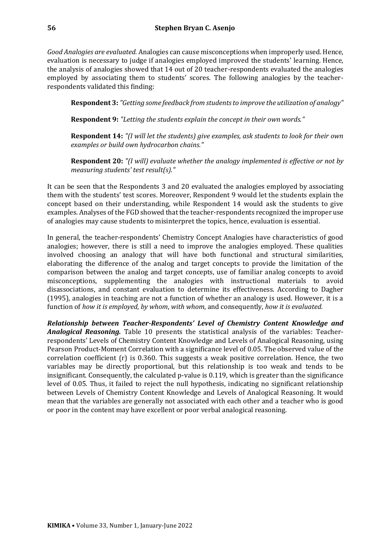*Good Analogies are evaluated.* Analogies can cause misconceptions when improperly used. Hence, evaluation is necessary to judge if analogies employed improved the students' learning. Hence, the analysis of analogies showed that 14 out of 20 teacher-respondents evaluated the analogies employed by associating them to students' scores. The following analogies by the teacherrespondents validated this finding:

**Respondent 3:** *"Getting some feedback from students to improve the utilization of analogy"*

**Respondent 9:** *"Letting the students explain the concept in their own words."*

**Respondent 14:** *"(I will let the students) give examples, ask students to look for their own examples or build own hydrocarbon chains."*

**Respondent 20:** *"(I will) evaluate whether the analogy implemented is effective or not by measuring students' test result(s)."*

It can be seen that the Respondents 3 and 20 evaluated the analogies employed by associating them with the students' test scores. Moreover, Respondent 9 would let the students explain the concept based on their understanding, while Respondent 14 would ask the students to give examples. Analyses of the FGD showed that the teacher-respondents recognized the improper use of analogies may cause students to misinterpret the topics, hence, evaluation is essential.

In general, the teacher-respondents' Chemistry Concept Analogies have characteristics of good analogies; however, there is still a need to improve the analogies employed. These qualities involved choosing an analogy that will have both functional and structural similarities, elaborating the difference of the analog and target concepts to provide the limitation of the comparison between the analog and target concepts, use of familiar analog concepts to avoid misconceptions, supplementing the analogies with instructional materials to avoid disassociations, and constant evaluation to determine its effectiveness. According to Dagher (1995), analogies in teaching are not a function of whether an analogy is used. However, it is a function of *how it is employed*, *by whom*, *with whom*, and consequently, *how it is evaluated*.

*Relationship between Teacher-Respondents' Level of Chemistry Content Knowledge and Analogical Reasoning.* Table 10 presents the statistical analysis of the variables: Teacherrespondents' Levels of Chemistry Content Knowledge and Levels of Analogical Reasoning, using Pearson Product-Moment Correlation with a significance level of 0.05. The observed value of the correlation coefficient (r) is 0.360. This suggests a weak positive correlation. Hence, the two variables may be directly proportional, but this relationship is too weak and tends to be insignificant. Consequently, the calculated p-value is 0.119, which is greater than the significance level of 0.05. Thus, it failed to reject the null hypothesis, indicating no significant relationship between Levels of Chemistry Content Knowledge and Levels of Analogical Reasoning. It would mean that the variables are generally not associated with each other and a teacher who is good or poor in the content may have excellent or poor verbal analogical reasoning.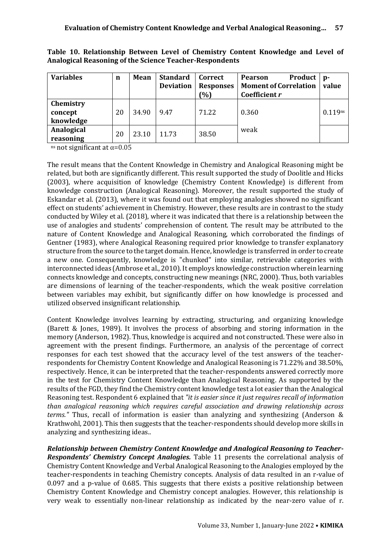| <b>Variables</b>                  | $\mathbf n$ | <b>Mean</b> | <b>Standard</b><br><b>Deviation</b> | Correct<br><b>Responses</b><br>(%) | <b>Product</b><br><b>Pearson</b><br><b>Moment of Correlation</b><br>Coefficient r | $p-$<br>value |
|-----------------------------------|-------------|-------------|-------------------------------------|------------------------------------|-----------------------------------------------------------------------------------|---------------|
| Chemistry<br>concept<br>knowledge | 20          | 34.90       | 9.47                                | 71.22                              | 0.360                                                                             | 0.119ns       |
| Analogical<br>reasoning           | 20          | 23.10       | 11.73                               | 38.50                              | weak                                                                              |               |

**Table 10. Relationship Between Level of Chemistry Content Knowledge and Level of Analogical Reasoning of the Science Teacher-Respondents**

ns not significant at  $α=0.05$ 

The result means that the Content Knowledge in Chemistry and Analogical Reasoning might be related, but both are significantly different. This result supported the study of Doolitle and Hicks (2003), where acquisition of knowledge (Chemistry Content Knowledge) is different from knowledge construction (Analogical Reasoning). Moreover, the result supported the study of Eskandar et al. (2013), where it was found out that employing analogies showed no significant effect on students' achievement in Chemistry. However, these results are in contrast to the study conducted by Wiley et al. (2018), where it was indicated that there is a relationship between the use of analogies and students' comprehension of content. The result may be attributed to the nature of Content Knowledge and Analogical Reasoning, which corroborated the findings of Gentner (1983), where Analogical Reasoning required prior knowledge to transfer explanatory structure from the source to the target domain. Hence, knowledge is transferred in order to create a new one. Consequently, knowledge is "chunked" into similar, retrievable categories with interconnected ideas (Ambrose et al., 2010). It employs knowledge construction wherein learning connects knowledge and concepts, constructing new meanings (NRC, 2000). Thus, both variables are dimensions of learning of the teacher-respondents, which the weak positive correlation between variables may exhibit, but significantly differ on how knowledge is processed and utilized observed insignificant relationship.

Content Knowledge involves learning by extracting, structuring, and organizing knowledge (Barett & Jones, 1989). It involves the process of absorbing and storing information in the memory (Anderson, 1982). Thus, knowledge is acquired and not constructed. These were also in agreement with the present findings. Furthermore, an analysis of the percentage of correct responses for each test showed that the accuracy level of the test answers of the teacherrespondents for Chemistry Content Knowledge and Analogical Reasoning is 71.22% and 38.50%, respectively. Hence, it can be interpreted that the teacher-respondents answered correctly more in the test for Chemistry Content Knowledge than Analogical Reasoning. As supported by the results of the FGD, they find the Chemistry content knowledge test a lot easier than the Analogical Reasoning test. Respondent 6 explained that *"it is easier since it just requires recall of information than analogical reasoning which requires careful association and drawing relationship across terms."* Thus, recall of information is easier than analyzing and synthesizing (Anderson & Krathwohl, 2001). This then suggests that the teacher-respondents should develop more skills in analyzing and synthesizing ideas..

*Relationship between Chemistry Content Knowledge and Analogical Reasoning to Teacher-Respondents' Chemistry Concept Analogies.* Table 11 presents the correlational analysis of Chemistry Content Knowledge and Verbal Analogical Reasoning to the Analogies employed by the teacher-respondents in teaching Chemistry concepts. Analysis of data resulted in an r-value of 0.097 and a p-value of 0.685. This suggests that there exists a positive relationship between Chemistry Content Knowledge and Chemistry concept analogies. However, this relationship is very weak to essentially non-linear relationship as indicated by the near-zero value of r.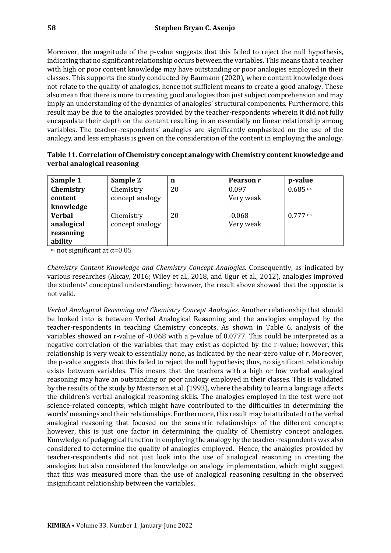Moreover, the magnitude of the p-value suggests that this failed to reject the null hypothesis, indicating that no significant relationship occurs between the variables. This means that a teacher with high or poor content knowledge may have outstanding or poor analogies employed in their classes. This supports the study conducted by Baumann (2020), where content knowledge does not relate to the quality of analogies, hence not sufficient means to create a good analogy. These also mean that there is more to creating good analogies than just subject comprehension and may imply an understanding of the dynamics of analogies' structural components. Furthermore, this result may be due to the analogies provided by the teacher-respondents wherein it did not fully encapsulate their depth on the content resulting in an essentially no linear relationship among variables. The teacher-respondents' analogies are significantly emphasized on the use of the analogy, and less emphasis is given on the consideration of the content in employing the analogy.

| Sample 1      | Sample 2        | n  | Pearson r | p-value               |
|---------------|-----------------|----|-----------|-----------------------|
| Chemistry     | Chemistry       | 20 | 0.097     | $0.685$ <sup>ns</sup> |
| content       | concept analogy |    | Very weak |                       |
| knowledge     |                 |    |           |                       |
| <b>Verbal</b> | Chemistry       | 20 | $-0.068$  | $0.777$ ns            |
| analogical    | concept analogy |    | Very weak |                       |
| reasoning     |                 |    |           |                       |
| ability       |                 |    |           |                       |

| Table 11. Correlation of Chemistry concept analogy with Chemistry content knowledge and |  |
|-----------------------------------------------------------------------------------------|--|
| verbal analogical reasoning                                                             |  |

ns not significant at  $\alpha$ =0.05

*Chemistry Content Knowledge and Chemistry Concept Analogies.* Consequently, as indicated by various researches (Akcay, 2016; Wiley et al., 2018, and Ugur et al., 2012), analogies improved the students' conceptual understanding; however, the result above showed that the opposite is not valid.

*Verbal Analogical Reasoning and Chemistry Concept Analogies.* Another relationship that should be looked into is between Verbal Analogical Reasoning and the analogies employed by the teacher-respondents in teaching Chemistry concepts. As shown in Table 6, analysis of the variables showed an r-value of -0.068 with a p-value of 0.0777. This could be interpreted as a negative correlation of the variables that may exist as depicted by the r-value; however, this relationship is very weak to essentially none, as indicated by the near-zero value of r. Moreover, the p-value suggests that this failed to reject the null hypothesis; thus, no significant relationship exists between variables. This means that the teachers with a high or low verbal analogical reasoning may have an outstanding or poor analogy employed in their classes. This is validated by the results of the study by Masterson et al. (1993), where the ability to learn a language affects the children's verbal analogical reasoning skills. The analogies employed in the test were not science-related concepts, which might have contributed to the difficulties in determining the words' meanings and their relationships. Furthermore, this result may be attributed to the verbal analogical reasoning that focused on the semantic relationships of the different concepts; however, this is just one factor in determining the quality of Chemistry concept analogies. Knowledge of pedagogical function in employing the analogy by the teacher-respondents was also considered to determine the quality of analogies employed. Hence, the analogies provided by teacher-respondents did not just look into the use of analogical reasoning in creating the analogies but also considered the knowledge on analogy implementation, which might suggest that this was measured more than the use of analogical reasoning resulting in the observed insignificant relationship between the variables.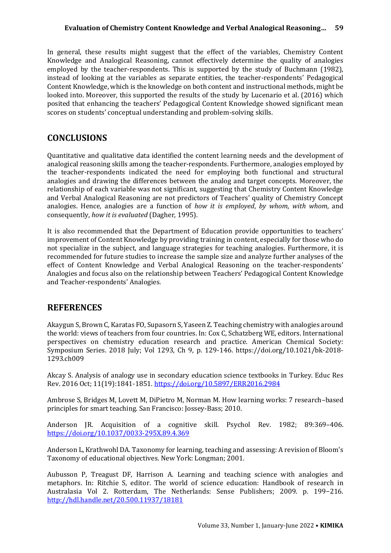In general, these results might suggest that the effect of the variables, Chemistry Content Knowledge and Analogical Reasoning, cannot effectively determine the quality of analogies employed by the teacher-respondents. This is supported by the study of Buchmann (1982), instead of looking at the variables as separate entities, the teacher-respondents' Pedagogical Content Knowledge, which is the knowledge on both content and instructional methods, might be looked into. Moreover, this supported the results of the study by Lucenario et al. (2016) which posited that enhancing the teachers' Pedagogical Content Knowledge showed significant mean scores on students' conceptual understanding and problem-solving skills.

## **CONCLUSIONS**

Quantitative and qualitative data identified the content learning needs and the development of analogical reasoning skills among the teacher-respondents. Furthermore, analogies employed by the teacher-respondents indicated the need for employing both functional and structural analogies and drawing the differences between the analog and target concepts. Moreover, the relationship of each variable was not significant, suggesting that Chemistry Content Knowledge and Verbal Analogical Reasoning are not predictors of Teachers' quality of Chemistry Concept analogies. Hence, analogies are a function of *how it is employed*, *by whom*, *with whom*, and consequently, *how it is evaluated* (Dagher, 1995).

It is also recommended that the Department of Education provide opportunities to teachers' improvement of Content Knowledge by providing training in content, especially for those who do not specialize in the subject, and language strategies for teaching analogies. Furthermore, it is recommended for future studies to increase the sample size and analyze further analyses of the effect of Content Knowledge and Verbal Analogical Reasoning on the teacher-respondents' Analogies and focus also on the relationship between Teachers' Pedagogical Content Knowledge and Teacher-respondents' Analogies.

## **REFERENCES**

Akaygun S, Brown C, Karatas FO, Supasorn S, Yaseen Z. Teaching chemistry with analogies around the world: views of teachers from four countries. In: Cox C, Schatzberg WE, editors. International perspectives on chemistry education research and practice. American Chemical Society: Symposium Series. 2018 July; Vol 1293, Ch 9, p. 129-146. https://doi.org/10.1021/bk-2018- 1293.ch009

Akcay S. Analysis of analogy use in secondary education science textbooks in Turkey. Educ Res Rev. 2016 Oct; 11(19):1841-1851.<https://doi.org/10.5897/ERR2016.2984>

Ambrose S, Bridges M, Lovett M, DiPietro M, Norman M. How learning works: 7 research–based principles for smart teaching. San Francisco: Jossey-Bass; 2010.

Anderson JR. Acquisition of a cognitive skill. Psychol Rev. 1982; 89:369–406. <https://doi.org/10.1037/0033-295X.89.4.369>

Anderson L, Krathwohl DA. Taxonomy for learning, teaching and assessing: A revision of Bloom's Taxonomy of educational objectives. New York: Longman; 2001.

Aubusson P, Treagust DF, Harrison A. Learning and teaching science with analogies and metaphors. In: Ritchie S, editor. The world of science education: Handbook of research in Australasia Vol 2. Rotterdam, The Netherlands: Sense Publishers; 2009. p. 199−216. <http://hdl.handle.net/20.500.11937/18181>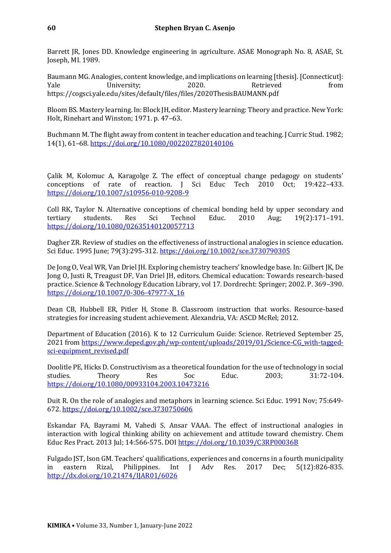Barrett JR, Jones DD. Knowledge engineering in agriculture. ASAE Monograph No. 8, ASAE, St. Joseph, MI. 1989.

Baumann MG. Analogies, content knowledge, and implications on learning [thesis]. [Connecticut]: Yale University; 2020. Retrieved from https://cogsci.yale.edu/sites/default/files/files/2020ThesisBAUMANN.pdf

Bloom BS. Mastery learning. In: Block JH, editor. Mastery learning: Theory and practice. New York: Holt, Rinehart and Winston; 1971. p. 47–63.

Buchmann M. The flight away from content in teacher education and teaching. J Curric Stud. 1982; 14(1), 61–68*.* <https://doi.org/10.1080/0022027820140106>

Çalik M, Kolomuc A, Karagolge Z. The effect of conceptual change pedagogy on students' conceptions of rate of reaction. J Sci Educ Tech 2010 Oct; 19:422–433. <https://doi.org/10.1007/s10956-010-9208-9>

Coll RK, Taylor N. Alternative conceptions of chemical bonding held by upper secondary and tertiary students. Res Sci Technol Educ. 2010 Aug; 19(2):171–191. <https://doi.org/10.1080/02635140120057713>

Dagher ZR. Review of studies on the effectiveness of instructional analogies in science education. Sci Educ. 1995 June; 79(3):295-312[. https://doi.org/10.1002/sce.3730790305](https://doi.org/10.1002/sce.3730790305)

De Jong O, Veal WR, Van Driel JH. Exploring chemistry teachers' knowledge base. In: Gilbert JK, De Jong O, Justi R, Treagust DF, Van Driel JH, editors. Chemical education: Towards research-based practice. Science & Technology Education Library, vol 17. Dordrecht: Springer; 2002. P. 369–390. [https://doi.org/10.1007/0-306-47977-X\\_16](https://doi.org/10.1007/0-306-47977-X_16)

Dean CB, Hubbell ER, Pitler H, Stone B. Classroom instruction that works. Resource-based strategies for increasing student achievement. Alexandria, VA: ASCD McRel; 2012.

Department of Education (2016). K to 12 Curriculum Guide: Science. Retrieved September 25, 2021 from [https://www.deped.gov.ph/wp-content/uploads/2019/01/Science-CG\\_with-tagged](https://www.deped.gov.ph/wp-content/uploads/2019/01/Science-CG_with-tagged-sci-equipment_revised.pdf)[sci-equipment\\_revised.pdf](https://www.deped.gov.ph/wp-content/uploads/2019/01/Science-CG_with-tagged-sci-equipment_revised.pdf)

Doolitle PE, Hicks D. Constructivism as a theoretical foundation for the use of technology in social studies. Theory Res Soc Educ. 2003; 31:72-104. <https://doi.org/10.1080/00933104.2003.10473216>

Duit R. On the role of analogies and metaphors in learning science. Sci Educ. 1991 Nov; 75:649- 672.<https://doi.org/10.1002/sce.3730750606>

Eskandar FA, Bayrami M, Vahedi S, Ansar VAAA. The effect of instructional analogies in interaction with logical thinking ability on achievement and attitude toward chemistry. Chem Educ Res Pract. 2013 Jul; 14:566-575. DO[I https://doi.org/10.1039/C3RP00036B](https://doi.org/10.1039/C3RP00036B)

Fulgado JST, Ison GM. Teachers' qualifications, experiences and concerns in a fourth municipality in eastern Rizal, Philippines. Int J Adv Res. 2017 Dec; 5(12):826-835. <http://dx.doi.org/10.21474/IJAR01/6026>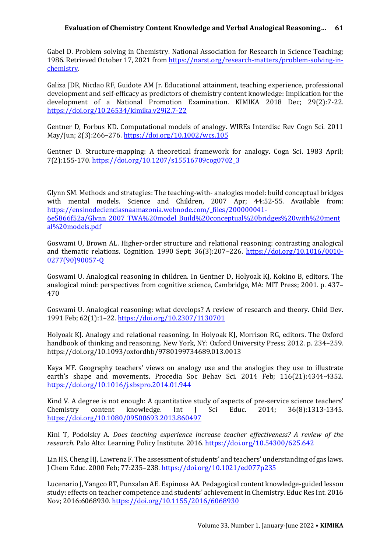#### **Evaluation of Chemistry Content Knowledge and Verbal Analogical Reasoning… 61**

Gabel D. Problem solving in Chemistry. National Association for Research in Science Teaching; 1986. Retrieved October 17, 2021 from [https://narst.org/research-matters/problem-solving-in](https://narst.org/research-matters/problem-solving-in-chemistry)[chemistry.](https://narst.org/research-matters/problem-solving-in-chemistry)

Galiza JDR, Nicdao RF, Guidote AM Jr. Educational attainment, teaching experience, professional development and self-efficacy as predictors of chemistry content knowledge: Implication for the development of a National Promotion Examination. KIMIKA 2018 Dec; 29(2):7-22. <https://doi.org/10.26534/kimika.v29i2.7-22>

Gentner D, Forbus KD. Computational models of analogy. WIREs Interdisc Rev Cogn Sci. 2011 May/Jun; 2(3):266–276[. https://doi.org/10.1002/wcs.105](https://doi.org/10.1002/wcs.105)

Gentner D. Structure-mapping: A theoretical framework for analogy. Cogn Sci. 1983 April; 7(2):155-170[. https://doi.org/10.1207/s15516709cog0702\\_3](https://doi.org/10.1207/s15516709cog0702_3)

Glynn SM. Methods and strategies: The teaching-with- analogies model: build conceptual bridges with mental models. Science and Children, 2007 Apr; 44:52-55. Available from: [https://ensinodecienciasnaamazonia.webnode.com/\\_files/200000041-](https://ensinodecienciasnaamazonia.webnode.com/_files/200000041-6e5866f52a/Glynn_2007_TWA%20model_Build%20conceptual%20bridges%20with%20mental%20models.pdf) [6e5866f52a/Glynn\\_2007\\_TWA%20model\\_Build%20conceptual%20bridges%20with%20ment](https://ensinodecienciasnaamazonia.webnode.com/_files/200000041-6e5866f52a/Glynn_2007_TWA%20model_Build%20conceptual%20bridges%20with%20mental%20models.pdf) [al%20models.pdf](https://ensinodecienciasnaamazonia.webnode.com/_files/200000041-6e5866f52a/Glynn_2007_TWA%20model_Build%20conceptual%20bridges%20with%20mental%20models.pdf)

Goswami U, Brown AL. Higher-order structure and relational reasoning: contrasting analogical and thematic relations. Cognition. 1990 Sept; 36(3):207–226. [https://doi.org/10.1016/0010-](https://doi.org/10.1016/0010-0277(90)90057-Q) [0277\(90\)90057-Q](https://doi.org/10.1016/0010-0277(90)90057-Q)

Goswami U. Analogical reasoning in children. In Gentner D, Holyoak KJ, Kokino B, editors. The analogical mind: perspectives from cognitive science, Cambridge, MA: MIT Press; 2001. p. 437– 470

Goswami U. Analogical reasoning: what develops? A review of research and theory. Child Dev. 1991 Feb; 62(1):1–22[. https://doi.org/10.2307/1130701](https://doi.org/10.2307/1130701)

Holyoak KJ. Analogy and relational reasoning. In Holyoak KJ, Morrison RG, editors. The Oxford handbook of thinking and reasoning. New York, NY: Oxford University Press; 2012. p. 234–259. https://doi.org/10.1093/oxfordhb/9780199734689.013.0013

Kaya MF. Geography teachers' views on analogy use and the analogies they use to illustrate earth's shape and movements. Procedia Soc Behav Sci. 2014 Feb; 116(21):4344-4352. <https://doi.org/10.1016/j.sbspro.2014.01.944>

Kind V. A degree is not enough: A quantitative study of aspects of pre-service science teachers' Chemistry content knowledge. Int J Sci Educ. 2014; 36(8):1313-1345. <https://doi.org/10.1080/09500693.2013.860497>

Kini T, Podolsky A. *Does teaching experience increase teacher effectiveness? A review of the research.* Palo Alto: Learning Policy Institute. 2016.<https://doi.org/10.54300/625.642>

Lin HS, Cheng HJ, Lawrenz F. The assessment of students' and teachers' understanding of gas laws. J Chem Educ. 2000 Feb; 77:235–238.<https://doi.org/10.1021/ed077p235>

Lucenario J, Yangco RT, Punzalan AE. Espinosa AA. Pedagogical content knowledge-guided lesson study: effects on teacher competence and students' achievement in Chemistry. Educ Res Int. 2016 Nov; 2016:6068930.<https://doi.org/10.1155/2016/6068930>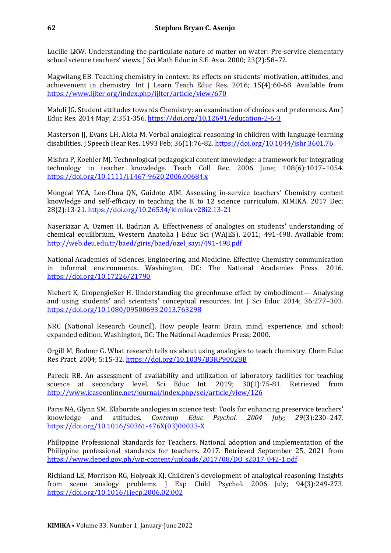Lucille LKW. Understanding the particulate nature of matter on water: Pre-service elementary school science teachers' views. J Sci Math Educ in S.E. Asia. 2000; 23(2):58–72.

Magwilang EB. Teaching chemistry in context: its effects on students' motivation, attitudes, and achievement in chemistry. Int J Learn Teach Educ Res. 2016; 15(4):60-68. Available from <https://www.ijlter.org/index.php/ijlter/article/view/670>

Mahdi JG. Student attitudes towards Chemistry: an examination of choices and preferences. Am J Educ Res. 2014 May; 2:351-356.<https://doi.org/10.12691/education-2-6-3>

Masterson JJ, Evans LH, Aloia M. Verbal analogical reasoning in children with language-learning disabilities. J Speech Hear Res. 1993 Feb; 36(1):76-82.<https://doi.org/10.1044/jshr.3601.76>

Mishra P, Koehler MJ. Technological pedagogical content knowledge: a framework for integrating technology in teacher knowledge. Teach Coll Rec. 2006 June; 108(6):1017–1054. <https://doi.org/10.1111/j.1467-9620.2006.00684.x>

Mongcal YCA, Lee-Chua QN, Guidote AJM. Assessing in-service teachers' Chemistry content knowledge and self-efficacy in teaching the K to 12 science curriculum. KIMIKA. 2017 Dec; 28(2):13-21.<https://doi.org/10.26534/kimika.v28i2.13-21>

Naseriazar A, Ozmen H, Badrian A. Effectiveness of analogies on students' understanding of chemical equilibrium. Western Anatolia J Educ Sci (WAJES). 2011; 491-498. Available from: [http://web.deu.edu.tr/baed/giris/baed/ozel\\_sayi/491-498.pdf](http://web.deu.edu.tr/baed/giris/baed/ozel_sayi/491-498.pdf)

National Academies of Sciences, Engineering, and Medicine. Effective Chemistry communication in informal environments. Washington, DC: The National Academies Press. 2016. [https://doi.org/10.17226/21790.](https://doi.org/10.17226/21790) 

Niebert K, Gropengießer H. Understanding the greenhouse effect by embodiment— Analysing and using students' and scientists' conceptual resources. Int J Sci Educ 2014; 36:277–303. <https://doi.org/10.1080/09500693.2013.763298>

NRC (National Research Council). How people learn: Brain, mind, experience, and school: expanded edition. Washington, DC: The National Academies Press; 2000.

Orgill M, Bodner G. What research tells us about using analogies to teach chemistry. Chem Educ Res Pract. 2004; 5:15-32.<https://doi.org/10.1039/B3RP90028B>

Pareek RB. An assessment of availability and utilization of laboratory facilities for teaching science at secondary level. Sci Educ Int. 2019; 30(1):75-81. Retrieved from <http://www.icaseonline.net/journal/index.php/sei/article/view/126>

Paris NA, Glynn SM. Elaborate analogies in science text: Tools for enhancing preservice teachers' knowledge and attitudes. *Contemp Educ Psychol. 2004 July; 29*(3):230–247. [https://doi.org/10.1016/S0361-476X\(03\)00033-X](https://doi.org/10.1016/S0361-476X(03)00033-X)

Philippine Professional Standards for Teachers. National adoption and implementation of the Philippine professional standards for teachers. 2017. Retrieved September 25, 2021 from [https://www.deped.gov.ph/wp-content/uploads/2017/08/DO\\_s2017\\_042-1.pdf](https://www.deped.gov.ph/wp-content/uploads/2017/08/DO_s2017_042-1.pdf)

Richland LE, Morrison RG, Holyoak KJ. Children's development of analogical reasoning: Insights from scene analogy problems. J Exp Child Psychol*.* 2006 July; 94(3):249-273. <https://doi.org/10.1016/j.jecp.2006.02.002>